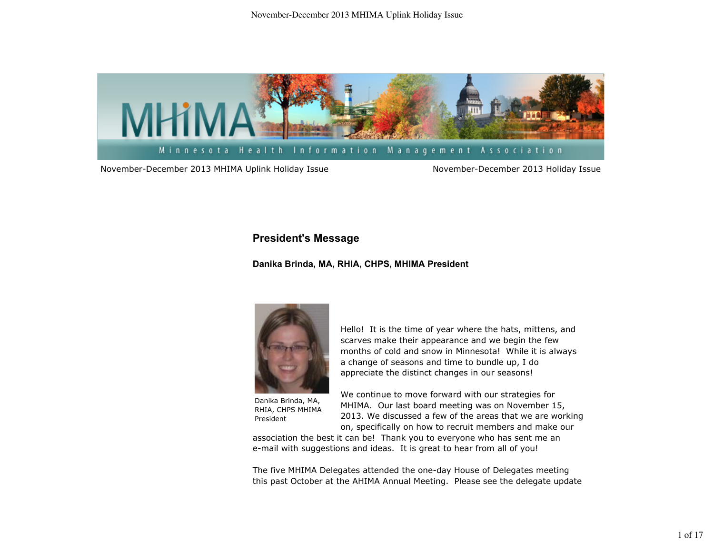

November-December 2013 MHIMA Uplink Holiday Issue November-December 2013 Holiday Issue

## **President's Message**

## **Danika Brinda, MA, RHIA, CHPS, MHIMA President**



Danika Brinda, MA, RHIA, CHPS MHIMA President

Hello! It is the time of year where the hats, mittens, and scarves make their appearance and we begin the few months of cold and snow in Minnesota! While it is always a change of seasons and time to bundle up, I do appreciate the distinct changes in our seasons!

We continue to move forward with our strategies for MHIMA. Our last board meeting was on November 15, 2013. We discussed a few of the areas that we are working on, specifically on how to recruit members and make our

association the best it can be! Thank you to everyone who has sent me an e-mail with suggestions and ideas. It is great to hear from all of you!

The five MHIMA Delegates attended the one-day House of Delegates meeting this past October at the AHIMA Annual Meeting. Please see the delegate update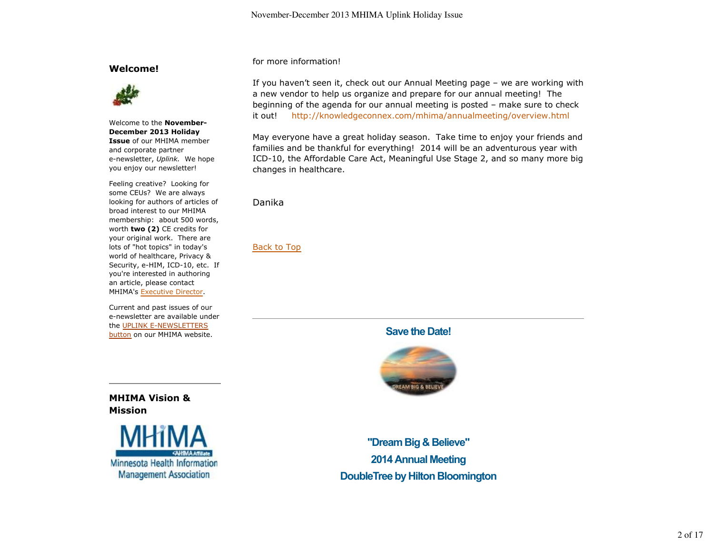### **Welcome!**



Welcome to the **November-December 2013 Holiday Issue** of our MHIMA member and corporate partner e-newsletter, *Uplink.* We hope you enjoy our newsletter!

Feeling creative? Looking for some CEUs? We are always looking for authors of articles of broad interest to our MHIMA membership: about 500 words, worth **two (2)** CE credits for your original work. There are lots of "hot topics" in today's world of healthcare, Privacy & Security, e-HIM, ICD-10, etc. If you're interested in authoring an article, please contact MHIMA's Executive Director.

Current and past issues of our e-newsletter are available under the UPLINK E-NEWSLETTERS button on our MHIMA website.

for more information!

If you haven't seen it, check out our Annual Meeting page – we are working with a new vendor to help us organize and prepare for our annual meeting! The beginning of the agenda for our annual meeting is posted – make sure to check it out! http://knowledgeconnex.com/mhima/annualmeeting/overview.html

May everyone have a great holiday season. Take time to enjoy your friends and families and be thankful for everything! 2014 will be an adventurous year with ICD-10, the Affordable Care Act, Meaningful Use Stage 2, and so many more big changes in healthcare.

Danika

Back to Top

**Save the Date!**



**MHIMA Vision & Mission**



**"Dream Big & Believe" 2014 Annual Meeting DoubleTree by Hilton Bloomington**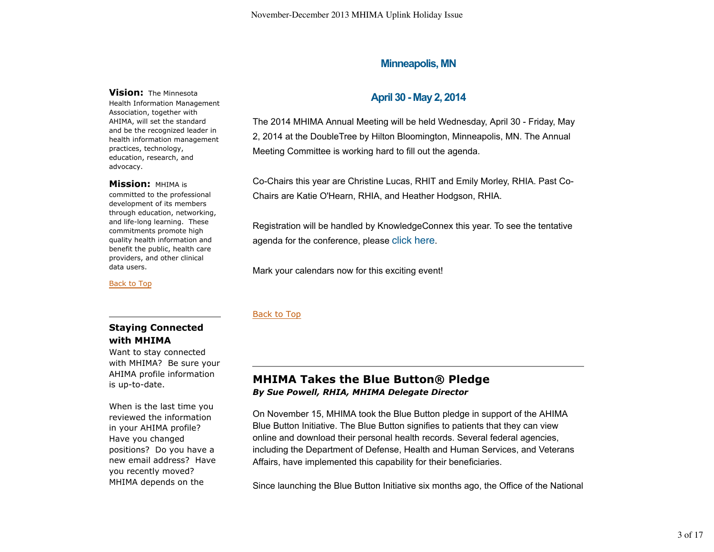## **Minneapolis, MN**

#### **Vision:** The Minnesota

Health Information Management Association, together with AHIMA, will set the standard and be the recognized leader in health information management practices, technology, education, research, and advocacy.

#### **Mission:** MHIMA is

committed to the professional development of its members through education, networking, and life-long learning. These commitments promote high quality health information and benefit the public, health care providers, and other clinical data users.

Back to Top

# **April 30 - May 2, 2014**

The 2014 MHIMA Annual Meeting will be held Wednesday, April 30 - Friday, May 2, 2014 at the DoubleTree by Hilton Bloomington, Minneapolis, MN. The Annual Meeting Committee is working hard to fill out the agenda.

Co-Chairs this year are Christine Lucas, RHIT and Emily Morley, RHIA. Past Co-Chairs are Katie O'Hearn, RHIA, and Heather Hodgson, RHIA.

Registration will be handled by KnowledgeConnex this year. To see the tentative agenda for the conference, please click here.

Mark your calendars now for this exciting event!

### Back to Top

## **Staying Connected with MHIMA**

Want to stay connected with MHIMA? Be sure your AHIMA profile information is up-to-date.

When is the last time you reviewed the information in your AHIMA profile? Have you changed positions? Do you have a new email address? Have you recently moved? MHIMA depends on the

# **MHIMA Takes the Blue Button® Pledge** *By Sue Powell, RHIA, MHIMA Delegate Director*

On November 15, MHIMA took the Blue Button pledge in support of the AHIMA Blue Button Initiative. The Blue Button signifies to patients that they can view online and download their personal health records. Several federal agencies, including the Department of Defense, Health and Human Services, and Veterans Affairs, have implemented this capability for their beneficiaries.

Since launching the Blue Button Initiative six months ago, the Office of the National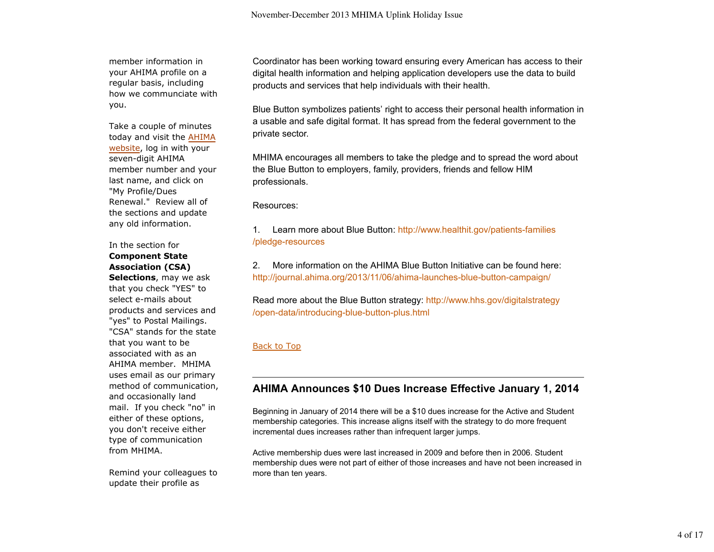member information in your AHIMA profile on a regular basis, including how we communciate with you.

Take a couple of minutes today and visit the AHIMA website, log in with your seven-digit AHIMA member number and your last name, and click on "My Profile/Dues Renewal." Review all of the sections and update any old information.

### In the section for **Component State Association (CSA) Selections**, may we ask

that you check "YES" to select e-mails about products and services and "yes" to Postal Mailings. "CSA" stands for the state that you want to be associated with as an AHIMA member. MHIMA uses email as our primary method of communication, and occasionally land mail. If you check "no" in either of these options, you don't receive either type of communication from MHIMA.

Remind your colleagues to update their profile as

Coordinator has been working toward ensuring every American has access to their digital health information and helping application developers use the data to build products and services that help individuals with their health.

Blue Button symbolizes patients' right to access their personal health information in a usable and safe digital format. It has spread from the federal government to the private sector.

MHIMA encourages all members to take the pledge and to spread the word about the Blue Button to employers, family, providers, friends and fellow HIM professionals.

### Resources:

1. Learn more about Blue Button: http://www.healthit.gov/patients-families /pledge-resources

2. More information on the AHIMA Blue Button Initiative can be found here: http://journal.ahima.org/2013/11/06/ahima-launches-blue-button-campaign/

Read more about the Blue Button strategy: http://www.hhs.gov/digitalstrategy /open-data/introducing-blue-button-plus.html

## Back to Top

# **AHIMA Announces \$10 Dues Increase Effective January 1, 2014**

Beginning in January of 2014 there will be a \$10 dues increase for the Active and Student membership categories. This increase aligns itself with the strategy to do more frequent incremental dues increases rather than infrequent larger jumps.

Active membership dues were last increased in 2009 and before then in 2006. Student membership dues were not part of either of those increases and have not been increased in more than ten years.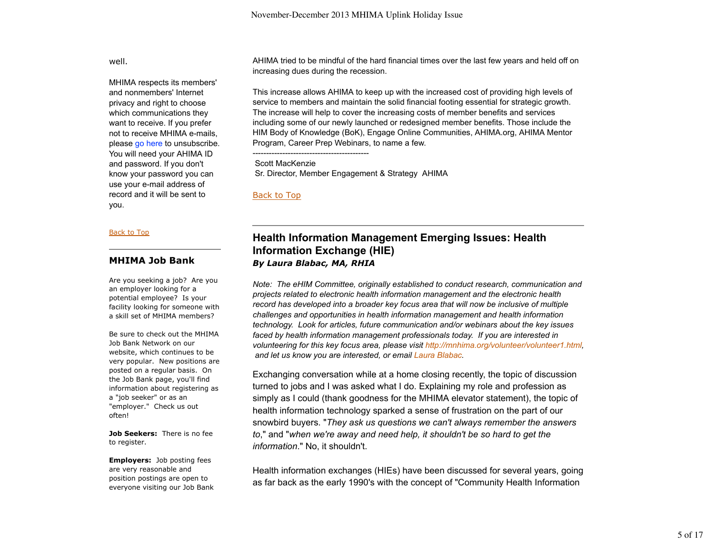well.

MHIMA respects its members' and nonmembers' Internet privacy and right to choose which communications they want to receive. If you prefer not to receive MHIMA e-mails, please go here to unsubscribe. You will need your AHIMA ID and password. If you don't know your password you can use your e-mail address of record and it will be sent to you.

#### Back to Top

### **MHIMA Job Bank**

Are you seeking a job? Are you an employer looking for a potential employee? Is your facility looking for someone with a skill set of MHIMA members?

Be sure to check out the MHIMA Job Bank Network on our website, which continues to be very popular. New positions are posted on a regular basis. On the Job Bank page, you'll find information about registering as a "job seeker" or as an "employer." Check us out often!

**Job Seekers:** There is no fee to register.

**Employers:** Job posting fees are very reasonable and position postings are open to everyone visiting our Job Bank AHIMA tried to be mindful of the hard financial times over the last few years and held off on increasing dues during the recession.

This increase allows AHIMA to keep up with the increased cost of providing high levels of service to members and maintain the solid financial footing essential for strategic growth. The increase will help to cover the increasing costs of member benefits and services including some of our newly launched or redesigned member benefits. Those include the HIM Body of Knowledge (BoK), Engage Online Communities, AHIMA.org, AHIMA Mentor Program, Career Prep Webinars, to name a few.

 Scott MacKenzie Sr. Director, Member Engagement & Strategy AHIMA

Back to Top

-------------------------------------------

## **Health Information Management Emerging Issues: Health Information Exchange (HIE)** *By Laura Blabac, MA, RHIA*

*Note: The eHIM Committee, originally established to conduct research, communication and projects related to electronic health information management and the electronic health record has developed into a broader key focus area that will now be inclusive of multiple challenges and opportunities in health information management and health information technology. Look for articles, future communication and/or webinars about the key issues faced by health information management professionals today. If you are interested in volunteering for this key focus area, please visit http://mnhima.org/volunteer/volunteer1.html, and let us know you are interested, or email Laura Blabac.*

Exchanging conversation while at a home closing recently, the topic of discussion turned to jobs and I was asked what I do. Explaining my role and profession as simply as I could (thank goodness for the MHIMA elevator statement), the topic of health information technology sparked a sense of frustration on the part of our snowbird buyers. "*They ask us questions we can't always remember the answers to*," and "*when we're away and need help, it shouldn't be so hard to get the information*." No, it shouldn't.

Health information exchanges (HIEs) have been discussed for several years, going as far back as the early 1990's with the concept of "Community Health Information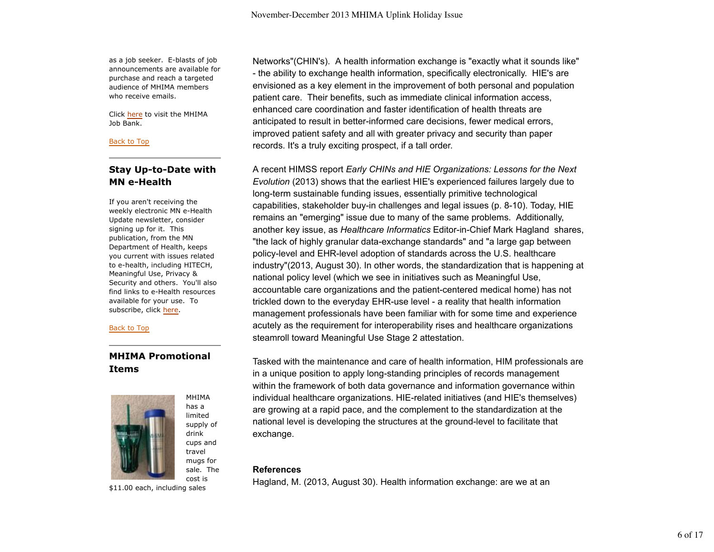as a job seeker. E-blasts of job announcements are available for purchase and reach a targeted audience of MHIMA members who receive emails.

Click here to visit the MHIMA Job Bank.

#### Back to Top

## **Stay Up-to-Date with MN e-Health**

If you aren't receiving the weekly electronic MN e-Health Update newsletter, consider signing up for it. This publication, from the MN Department of Health, keeps you current with issues related to e-health, including HITECH, Meaningful Use, Privacy & Security and others. You'll also find links to e-Health resources available for your use. To subscribe, click here.

#### Back to Top

## **MHIMA Promotional Items**



has a limited supply of drink cups and travel mugs for sale. The cost is

MHIMA

Networks"(CHIN's). A health information exchange is "exactly what it sounds like" - the ability to exchange health information, specifically electronically. HIE's are envisioned as a key element in the improvement of both personal and population patient care. Their benefits, such as immediate clinical information access, enhanced care coordination and faster identification of health threats are anticipated to result in better-informed care decisions, fewer medical errors, improved patient safety and all with greater privacy and security than paper records. It's a truly exciting prospect, if a tall order.

A recent HIMSS report *Early CHINs and HIE Organizations: Lessons for the Next Evolution* (2013) shows that the earliest HIE's experienced failures largely due to long-term sustainable funding issues, essentially primitive technological capabilities, stakeholder buy-in challenges and legal issues (p. 8-10). Today, HIE remains an "emerging" issue due to many of the same problems. Additionally, another key issue, as *Healthcare Informatics* Editor-in-Chief Mark Hagland shares, "the lack of highly granular data-exchange standards" and "a large gap between policy-level and EHR-level adoption of standards across the U.S. healthcare industry"(2013, August 30). In other words, the standardization that is happening at national policy level (which we see in initiatives such as Meaningful Use, accountable care organizations and the patient-centered medical home) has not trickled down to the everyday EHR-use level - a reality that health information management professionals have been familiar with for some time and experience acutely as the requirement for interoperability rises and healthcare organizations steamroll toward Meaningful Use Stage 2 attestation.

Tasked with the maintenance and care of health information, HIM professionals are in a unique position to apply long-standing principles of records management within the framework of both data governance and information governance within individual healthcare organizations. HIE-related initiatives (and HIE's themselves) are growing at a rapid pace, and the complement to the standardization at the national level is developing the structures at the ground-level to facilitate that exchange.

### **References**

Hagland, M. (2013, August 30). Health information exchange: are we at an

\$11.00 each, including sales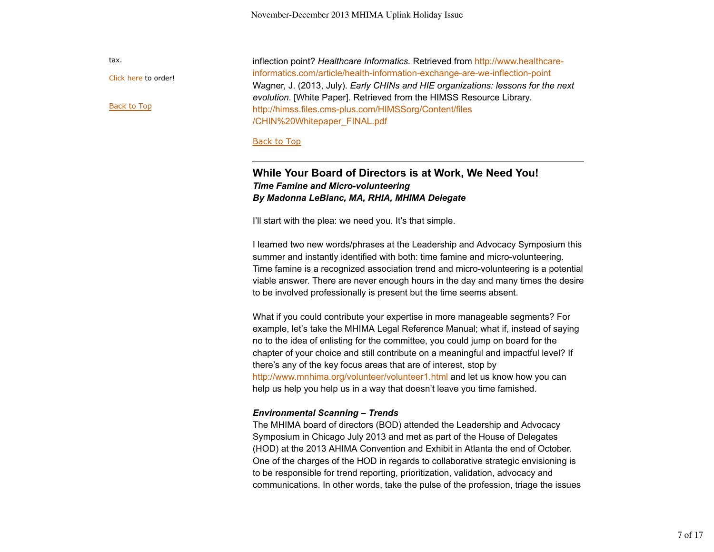Click here to order!

Back to Top

tax.

inflection point? *Healthcare Informatics.* Retrieved from http://www.healthcareinformatics.com/article/health-information-exchange-are-we-inflection-point Wagner, J. (2013, July). *Early CHINs and HIE organizations: lessons for the next evolution*. [White Paper]. Retrieved from the HIMSS Resource Library. http://himss.files.cms-plus.com/HIMSSorg/Content/files /CHIN%20Whitepaper\_FINAL.pdf

#### Back to Top

## **While Your Board of Directors is at Work, We Need You!**  *Time Famine and Micro-volunteering By Madonna LeBlanc, MA, RHIA, MHIMA Delegate*

I'll start with the plea: we need you. It's that simple.

I learned two new words/phrases at the Leadership and Advocacy Symposium this summer and instantly identified with both: time famine and micro-volunteering. Time famine is a recognized association trend and micro-volunteering is a potential viable answer. There are never enough hours in the day and many times the desire to be involved professionally is present but the time seems absent.

What if you could contribute your expertise in more manageable segments? For example, let's take the MHIMA Legal Reference Manual; what if, instead of saying no to the idea of enlisting for the committee, you could jump on board for the chapter of your choice and still contribute on a meaningful and impactful level? If there's any of the key focus areas that are of interest, stop by http://www.mnhima.org/volunteer/volunteer1.html and let us know how you can help us help you help us in a way that doesn't leave you time famished.

### *Environmental Scanning – Trends*

The MHIMA board of directors (BOD) attended the Leadership and Advocacy Symposium in Chicago July 2013 and met as part of the House of Delegates (HOD) at the 2013 AHIMA Convention and Exhibit in Atlanta the end of October. One of the charges of the HOD in regards to collaborative strategic envisioning is to be responsible for trend reporting, prioritization, validation, advocacy and communications. In other words, take the pulse of the profession, triage the issues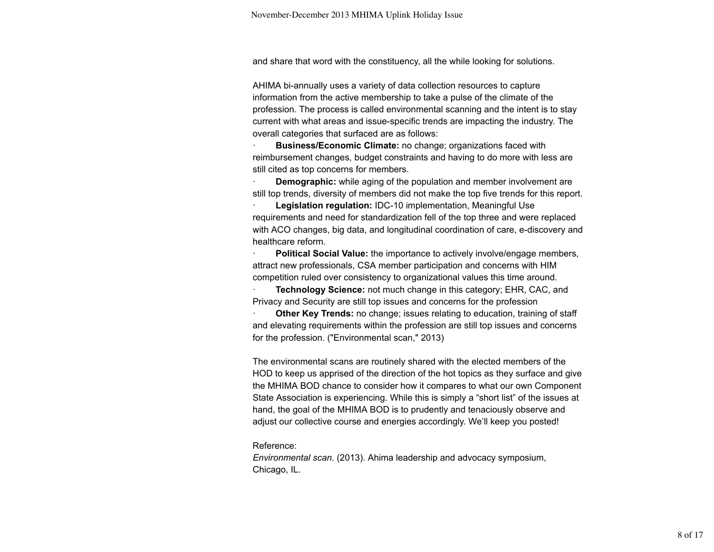and share that word with the constituency, all the while looking for solutions.

AHIMA bi-annually uses a variety of data collection resources to capture information from the active membership to take a pulse of the climate of the profession. The process is called environmental scanning and the intent is to stay current with what areas and issue-specific trends are impacting the industry. The overall categories that surfaced are as follows:

· **Business/Economic Climate:** no change; organizations faced with reimbursement changes, budget constraints and having to do more with less are still cited as top concerns for members.

**Demographic:** while aging of the population and member involvement are still top trends, diversity of members did not make the top five trends for this report.

**Legislation regulation: IDC-10 implementation, Meaningful Use** requirements and need for standardization fell of the top three and were replaced with ACO changes, big data, and longitudinal coordination of care, e-discovery and healthcare reform.

**Political Social Value:** the importance to actively involve/engage members, attract new professionals, CSA member participation and concerns with HIM competition ruled over consistency to organizational values this time around.

**Technology Science:** not much change in this category; EHR, CAC, and Privacy and Security are still top issues and concerns for the profession

**Other Key Trends:** no change; issues relating to education, training of staff and elevating requirements within the profession are still top issues and concerns for the profession. ("Environmental scan," 2013)

The environmental scans are routinely shared with the elected members of the HOD to keep us apprised of the direction of the hot topics as they surface and give the MHIMA BOD chance to consider how it compares to what our own Component State Association is experiencing. While this is simply a "short list" of the issues at hand, the goal of the MHIMA BOD is to prudently and tenaciously observe and adjust our collective course and energies accordingly. We'll keep you posted!

#### Reference:

*Environmental scan*. (2013). Ahima leadership and advocacy symposium, Chicago, IL.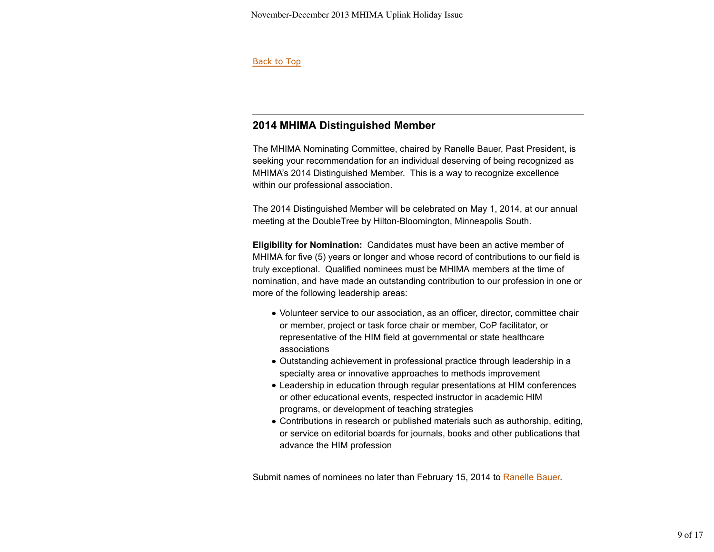### Back to Top

# **2014 MHIMA Distinguished Member**

The MHIMA Nominating Committee, chaired by Ranelle Bauer, Past President, is seeking your recommendation for an individual deserving of being recognized as MHIMA's 2014 Distinguished Member. This is a way to recognize excellence within our professional association.

The 2014 Distinguished Member will be celebrated on May 1, 2014, at our annual meeting at the DoubleTree by Hilton-Bloomington, Minneapolis South.

**Eligibility for Nomination:** Candidates must have been an active member of MHIMA for five (5) years or longer and whose record of contributions to our field is truly exceptional. Qualified nominees must be MHIMA members at the time of nomination, and have made an outstanding contribution to our profession in one or more of the following leadership areas:

- Volunteer service to our association, as an officer, director, committee chair or member, project or task force chair or member, CoP facilitator, or representative of the HIM field at governmental or state healthcare associations
- Outstanding achievement in professional practice through leadership in a specialty area or innovative approaches to methods improvement
- Leadership in education through regular presentations at HIM conferences or other educational events, respected instructor in academic HIM programs, or development of teaching strategies
- Contributions in research or published materials such as authorship, editing, or service on editorial boards for journals, books and other publications that advance the HIM profession

Submit names of nominees no later than February 15, 2014 to Ranelle Bauer.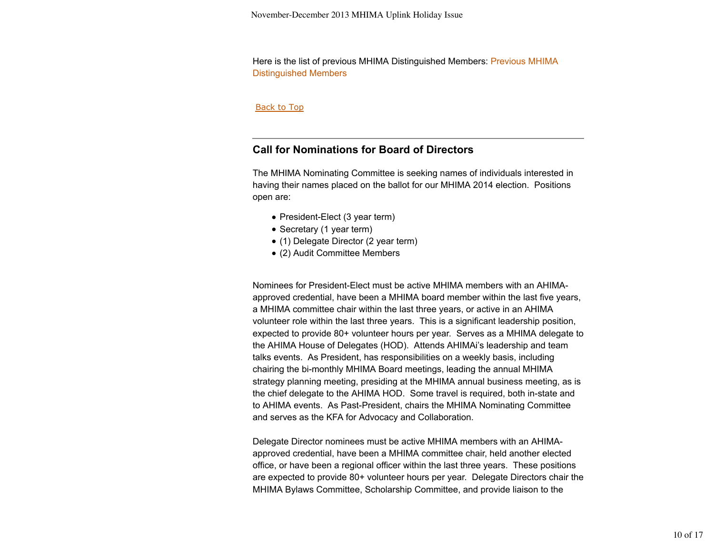Here is the list of previous MHIMA Distinguished Members: Previous MHIMA Distinguished Members

#### Back to Top

## **Call for Nominations for Board of Directors**

The MHIMA Nominating Committee is seeking names of individuals interested in having their names placed on the ballot for our MHIMA 2014 election. Positions open are:

- President-Elect (3 year term)
- Secretary (1 year term)
- (1) Delegate Director (2 year term)
- (2) Audit Committee Members

Nominees for President-Elect must be active MHIMA members with an AHIMAapproved credential, have been a MHIMA board member within the last five years, a MHIMA committee chair within the last three years, or active in an AHIMA volunteer role within the last three years. This is a significant leadership position, expected to provide 80+ volunteer hours per year. Serves as a MHIMA delegate to the AHIMA House of Delegates (HOD). Attends AHIMAi's leadership and team talks events. As President, has responsibilities on a weekly basis, including chairing the bi-monthly MHIMA Board meetings, leading the annual MHIMA strategy planning meeting, presiding at the MHIMA annual business meeting, as is the chief delegate to the AHIMA HOD. Some travel is required, both in-state and to AHIMA events. As Past-President, chairs the MHIMA Nominating Committee and serves as the KFA for Advocacy and Collaboration.

Delegate Director nominees must be active MHIMA members with an AHIMAapproved credential, have been a MHIMA committee chair, held another elected office, or have been a regional officer within the last three years. These positions are expected to provide 80+ volunteer hours per year. Delegate Directors chair the MHIMA Bylaws Committee, Scholarship Committee, and provide liaison to the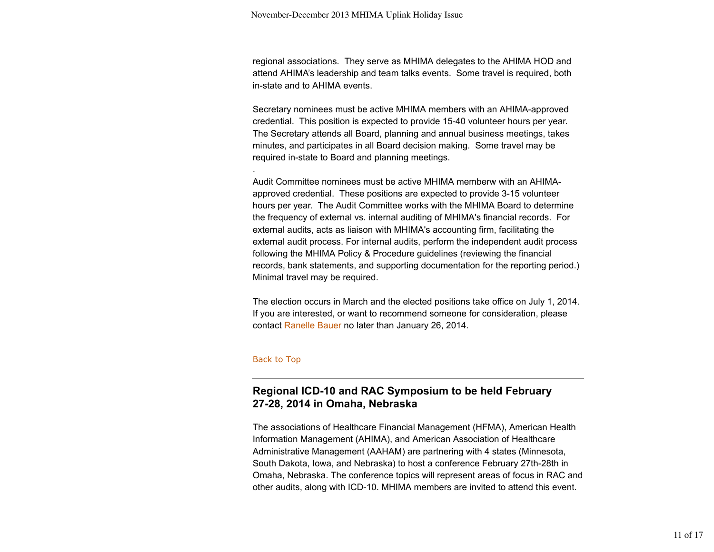regional associations. They serve as MHIMA delegates to the AHIMA HOD and attend AHIMA's leadership and team talks events. Some travel is required, both in-state and to AHIMA events.

Secretary nominees must be active MHIMA members with an AHIMA-approved credential. This position is expected to provide 15-40 volunteer hours per year. The Secretary attends all Board, planning and annual business meetings, takes minutes, and participates in all Board decision making. Some travel may be required in-state to Board and planning meetings.

Audit Committee nominees must be active MHIMA memberw with an AHIMAapproved credential. These positions are expected to provide 3-15 volunteer hours per year. The Audit Committee works with the MHIMA Board to determine the frequency of external vs. internal auditing of MHIMA's financial records. For external audits, acts as liaison with MHIMA's accounting firm, facilitating the external audit process. For internal audits, perform the independent audit process following the MHIMA Policy & Procedure guidelines (reviewing the financial records, bank statements, and supporting documentation for the reporting period.) Minimal travel may be required.

The election occurs in March and the elected positions take office on July 1, 2014. If you are interested, or want to recommend someone for consideration, please contact Ranelle Bauer no later than January 26, 2014.

#### Back to Top

.

# **Regional ICD-10 and RAC Symposium to be held February 27-28, 2014 in Omaha, Nebraska**

The associations of Healthcare Financial Management (HFMA), American Health Information Management (AHIMA), and American Association of Healthcare Administrative Management (AAHAM) are partnering with 4 states (Minnesota, South Dakota, Iowa, and Nebraska) to host a conference February 27th-28th in Omaha, Nebraska. The conference topics will represent areas of focus in RAC and other audits, along with ICD-10. MHIMA members are invited to attend this event.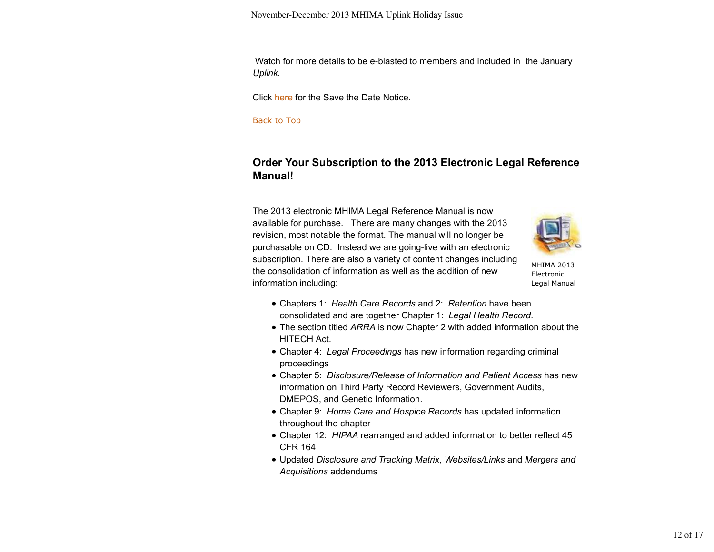Watch for more details to be e-blasted to members and included in the January *Uplink.*

Click here for the Save the Date Notice.

Back to Top

# **Order Your Subscription to the 2013 Electronic Legal Reference Manual!**

The 2013 electronic MHIMA Legal Reference Manual is now available for purchase. There are many changes with the 2013 revision, most notable the format. The manual will no longer be purchasable on CD. Instead we are going-live with an electronic subscription. There are also a variety of content changes including the consolidation of information as well as the addition of new information including:



MHIMA 2013 Electronic Legal Manual

- Chapters 1: *Health Care Records* and 2: *Retention* have been consolidated and are together Chapter 1: *Legal Health Record*.
- The section titled *ARRA* is now Chapter 2 with added information about the HITECH Act.
- Chapter 4: *Legal Proceedings* has new information regarding criminal proceedings
- Chapter 5: *Disclosure/Release of Information and Patient Access* has new information on Third Party Record Reviewers, Government Audits, DMEPOS, and Genetic Information.
- Chapter 9: *Home Care and Hospice Records* has updated information throughout the chapter
- Chapter 12: *HIPAA* rearranged and added information to better reflect 45 CFR 164
- Updated *Disclosure and Tracking Matrix*, *Websites/Links* and *Mergers and Acquisitions* addendums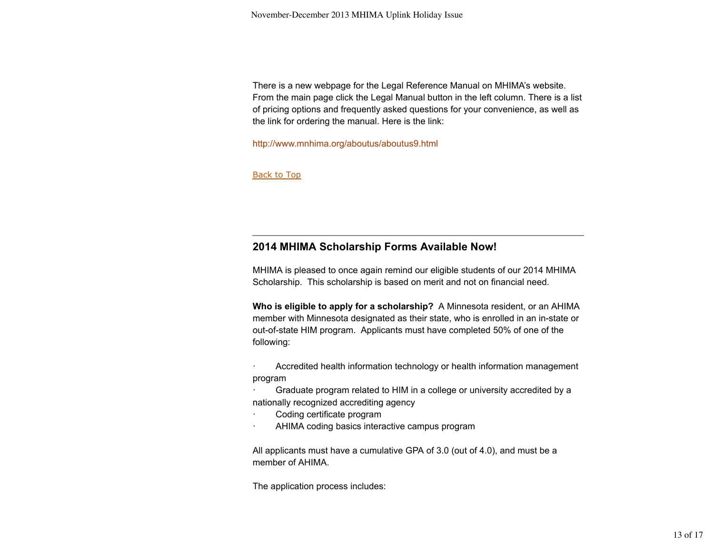There is a new webpage for the Legal Reference Manual on MHIMA's website. From the main page click the Legal Manual button in the left column. There is a list of pricing options and frequently asked questions for your convenience, as well as the link for ordering the manual. Here is the link:

http://www.mnhima.org/aboutus/aboutus9.html

**Back to Top** 

## **2014 MHIMA Scholarship Forms Available Now!**

MHIMA is pleased to once again remind our eligible students of our 2014 MHIMA Scholarship. This scholarship is based on merit and not on financial need.

**Who is eligible to apply for a scholarship?** A Minnesota resident, or an AHIMA member with Minnesota designated as their state, who is enrolled in an in-state or out-of-state HIM program. Applicants must have completed 50% of one of the following:

Accredited health information technology or health information management program

Graduate program related to HIM in a college or university accredited by a nationally recognized accrediting agency

- Coding certificate program
- AHIMA coding basics interactive campus program

All applicants must have a cumulative GPA of 3.0 (out of 4.0), and must be a member of AHIMA.

The application process includes: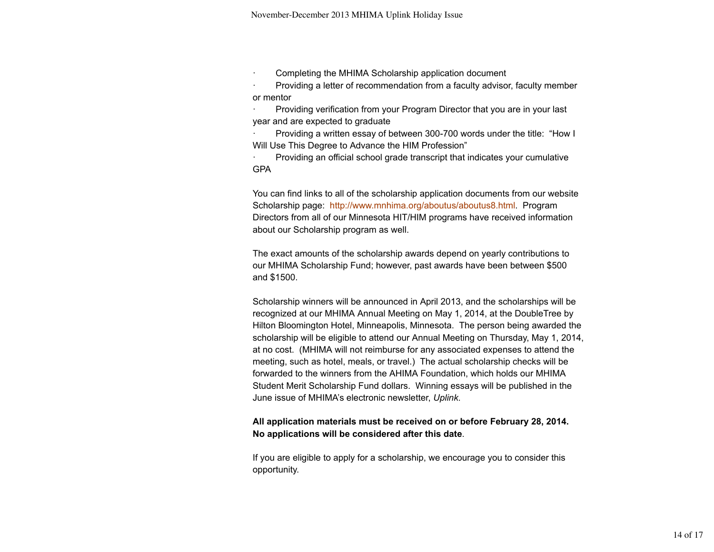· Completing the MHIMA Scholarship application document

· Providing a letter of recommendation from a faculty advisor, faculty member or mentor

Providing verification from your Program Director that you are in your last year and are expected to graduate

· Providing a written essay of between 300-700 words under the title: "How I Will Use This Degree to Advance the HIM Profession"

· Providing an official school grade transcript that indicates your cumulative GPA

You can find links to all of the scholarship application documents from our website Scholarship page: http://www.mnhima.org/aboutus/aboutus8.html. Program Directors from all of our Minnesota HIT/HIM programs have received information about our Scholarship program as well.

The exact amounts of the scholarship awards depend on yearly contributions to our MHIMA Scholarship Fund; however, past awards have been between \$500 and \$1500.

Scholarship winners will be announced in April 2013, and the scholarships will be recognized at our MHIMA Annual Meeting on May 1, 2014, at the DoubleTree by Hilton Bloomington Hotel, Minneapolis, Minnesota. The person being awarded the scholarship will be eligible to attend our Annual Meeting on Thursday, May 1, 2014, at no cost. (MHIMA will not reimburse for any associated expenses to attend the meeting, such as hotel, meals, or travel.) The actual scholarship checks will be forwarded to the winners from the AHIMA Foundation, which holds our MHIMA Student Merit Scholarship Fund dollars. Winning essays will be published in the June issue of MHIMA's electronic newsletter, *Uplink*.

### **All application materials must be received on or before February 28, 2014. No applications will be considered after this date**.

If you are eligible to apply for a scholarship, we encourage you to consider this opportunity.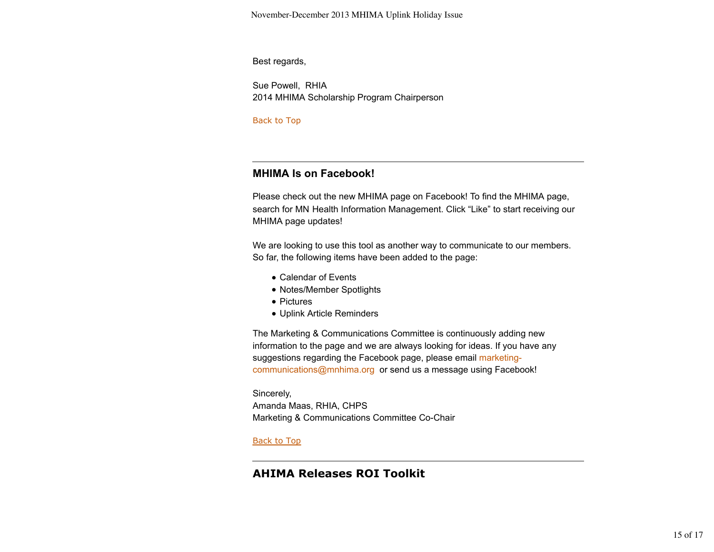November-December 2013 MHIMA Uplink Holiday Issue

Best regards,

Sue Powell, RHIA 2014 MHIMA Scholarship Program Chairperson

Back to Top

# **MHIMA Is on Facebook!**

Please check out the new MHIMA page on Facebook! To find the MHIMA page, search for MN Health Information Management. Click "Like" to start receiving our MHIMA page updates!

We are looking to use this tool as another way to communicate to our members. So far, the following items have been added to the page:

- Calendar of Events
- Notes/Member Spotlights
- Pictures
- Uplink Article Reminders

The Marketing & Communications Committee is continuously adding new information to the page and we are always looking for ideas. If you have any suggestions regarding the Facebook page, please email marketingcommunications@mnhima.org or send us a message using Facebook!

Sincerely, Amanda Maas, RHIA, CHPS Marketing & Communications Committee Co-Chair

**Back to Top** 

# **AHIMA Releases ROI Toolkit**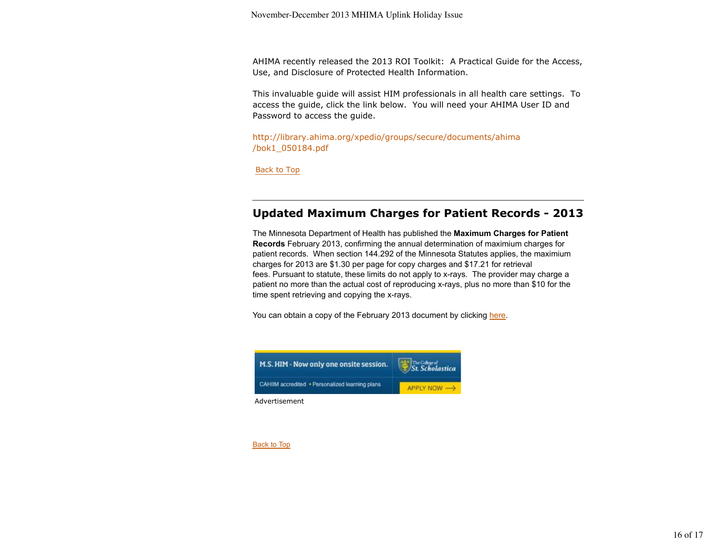AHIMA recently released the 2013 ROI Toolkit: A Practical Guide for the Access, Use, and Disclosure of Protected Health Information.

This invaluable guide will assist HIM professionals in all health care settings. To access the guide, click the link below. You will need your AHIMA User ID and Password to access the guide.

http://library.ahima.org/xpedio/groups/secure/documents/ahima /bok1\_050184.pdf

Back to Top

# **Updated Maximum Charges for Patient Records - 2013**

The Minnesota Department of Health has published the **Maximum Charges for Patient Records** February 2013, confirming the annual determination of maximium charges for patient records. When section 144.292 of the Minnesota Statutes applies, the maximium charges for 2013 are \$1.30 per page for copy charges and \$17.21 for retrieval fees. Pursuant to statute, these limits do not apply to x-rays. The provider may charge a patient no more than the actual cost of reproducing x-rays, plus no more than \$10 for the time spent retrieving and copying the x-rays.

You can obtain a copy of the February 2013 document by clicking here.



Back to Top